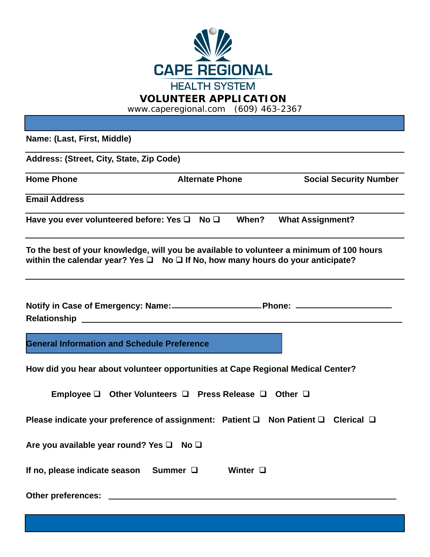

#### **VOLUNTEER APPLICATION**

www.caperegional.com (609) 463-2367

**Name: (Last, First, Middle) Address: (Street, City, State, Zip Code) Home Phone Community Community Alternate Phone Community Social Security Number Email Address Have you ever volunteered before: Yes** q **No** q **When? What Assignment? To the best of your knowledge, will you be available to volunteer a minimum of 100 hours**  within the calendar year? Yes  $\Box$  **No**  $\Box$  **If No, how many hours do your anticipate?** Notify in Case of Emergency: Name: Phone: **Phone:** 2014 **Relationship General Information and Schedule Preference**

**How did you hear about volunteer opportunities at Cape Regional Medical Center?**

**Employee Q** Other Volunteers **Q** Press Release **Q** Other **Q** 

**Please indicate your preference of assignment: Patient Q Non Patient Q Clerical Q** 

**Are you available year round? Yes**  $\Box$  **No**  $\Box$ 

**If no, please indicate season** Summer  $\Box$  Winter  $\Box$ 

**Other preferences:**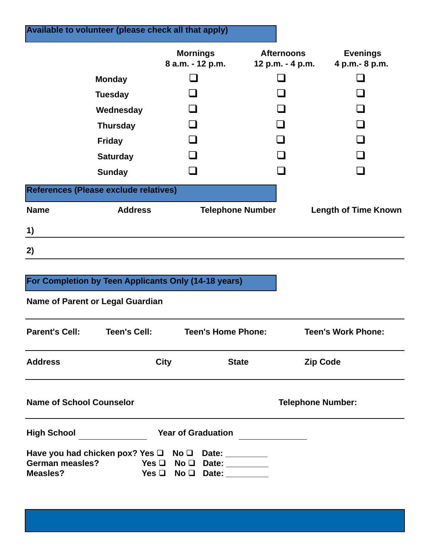|                       | Available to volunteer (please check all that apply) |                                                      |                                       |                           |                                    |
|-----------------------|------------------------------------------------------|------------------------------------------------------|---------------------------------------|---------------------------|------------------------------------|
|                       |                                                      | <b>Mornings</b><br>8 a.m. - 12 p.m.                  | <b>Afternoons</b><br>12 p.m. - 4 p.m. |                           | <b>Evenings</b><br>4 p.m. - 8 p.m. |
|                       | <b>Monday</b>                                        |                                                      |                                       |                           |                                    |
|                       | <b>Tuesday</b>                                       |                                                      |                                       |                           |                                    |
|                       | Wednesday                                            |                                                      |                                       |                           |                                    |
|                       | <b>Thursday</b>                                      |                                                      |                                       |                           |                                    |
|                       | <b>Friday</b>                                        |                                                      |                                       |                           |                                    |
|                       | <b>Saturday</b>                                      |                                                      |                                       |                           |                                    |
|                       | <b>Sunday</b>                                        |                                                      |                                       |                           |                                    |
|                       | References (Please exclude relatives)                |                                                      |                                       |                           |                                    |
| <b>Name</b>           | <b>Address</b>                                       | <b>Telephone Number</b>                              |                                       |                           | <b>Length of Time Known</b>        |
| 1)                    |                                                      |                                                      |                                       |                           |                                    |
| 2)                    |                                                      |                                                      |                                       |                           |                                    |
|                       |                                                      | For Completion by Teen Applicants Only (14-18 years) |                                       |                           |                                    |
|                       | <b>Name of Parent or Legal Guardian</b>              |                                                      |                                       |                           |                                    |
| <b>Parent's Cell:</b> | <b>Teen's Cell:</b>                                  | <b>Teen's Home Phone:</b>                            |                                       | <b>Teen's Work Phone:</b> |                                    |
| <b>Address</b>        |                                                      | <b>City</b><br><b>State</b>                          |                                       | <b>Zip Code</b>           |                                    |
|                       |                                                      |                                                      |                                       |                           |                                    |

| <b>High School</b>                                   |                           | <b>Year of Graduation</b>  |
|------------------------------------------------------|---------------------------|----------------------------|
| Have you had chicken pox? Yes $\Box$ No $\Box$ Date: |                           |                            |
| <b>German measles?</b>                               |                           | Yes $\Box$ No $\Box$ Date: |
| Measles?                                             | $Yes \Box No \Box Data$ : |                            |

**Name of School Counselor <b>Telephone Number:**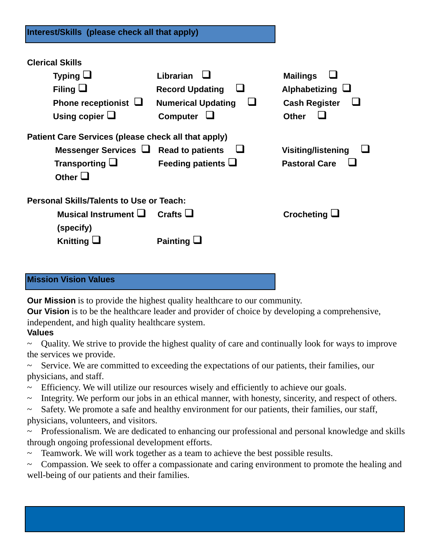| <b>Clerical Skills</b>                              |                           |                           |  |  |  |  |  |
|-----------------------------------------------------|---------------------------|---------------------------|--|--|--|--|--|
| Typing $\Box$                                       | Librarian                 | <b>Mailings</b>           |  |  |  |  |  |
| Filing $\Box$                                       | <b>Record Updating</b>    | Alphabetizing $\Box$      |  |  |  |  |  |
| Phone receptionist $\Box$                           | <b>Numerical Updating</b> | <b>Cash Register</b>      |  |  |  |  |  |
| Using copier $\Box$                                 | <b>Computer</b>           | <b>Other</b>              |  |  |  |  |  |
| Patient Care Services (please check all that apply) |                           |                           |  |  |  |  |  |
| Messenger Services $\Box$ Read to patients          |                           | <b>Visiting/listening</b> |  |  |  |  |  |
| Transporting $\Box$<br>Other $\Box$                 | Feeding patients $\Box$   | <b>Pastoral Care</b>      |  |  |  |  |  |
| <b>Personal Skills/Talents to Use or Teach:</b>     |                           |                           |  |  |  |  |  |
| Musical Instrument $\Box$<br>(specify)              | Crafts $\Box$             | Crocheting $\Box$         |  |  |  |  |  |
| Knitting $\Box$                                     | Painting $\Box$           |                           |  |  |  |  |  |

## **Mission Vision Values**

**Our Mission** is to provide the highest quality healthcare to our community.

**Our Vision** is to be the healthcare leader and provider of choice by developing a comprehensive, independent, and high quality healthcare system.

# **Values**

~ Quality. We strive to provide the highest quality of care and continually look for ways to improve the services we provide.

~ Service. We are committed to exceeding the expectations of our patients, their families, our physicians, and staff.

- ~ Efficiency. We will utilize our resources wisely and efficiently to achieve our goals.
- ~ Integrity. We perform our jobs in an ethical manner, with honesty, sincerity, and respect of others.
- ~ Safety. We promote a safe and healthy environment for our patients, their families, our staff, physicians, volunteers, and visitors.

~ Professionalism. We are dedicated to enhancing our professional and personal knowledge and skills through ongoing professional development efforts.

~ Teamwork. We will work together as a team to achieve the best possible results.

~ Compassion. We seek to offer a compassionate and caring environment to promote the healing and well-being of our patients and their families.